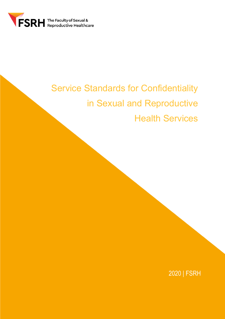

# Service Standards for Confidentiality in Sexual and Reproductive Health Services

2020 | FSRH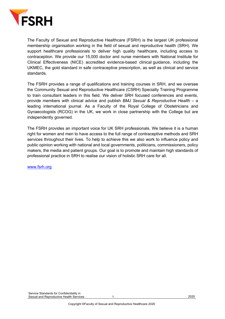

The Faculty of Sexual and Reproductive Healthcare (FSRH) is the largest UK professional membership organisation working in the field of sexual and reproductive health (SRH). We support healthcare professionals to deliver high quality healthcare, including access to contraception. We provide our 15,000 doctor and nurse members with National Institute for Clinical Effectiveness (NICE) accredited evidence-based clinical guidance, including the UKMEC, the gold standard in safe contraceptive prescription, as well as clinical and service standards.

The FSRH provides a range of qualifications and training courses in SRH, and we oversee the Community Sexual and Reproductive Healthcare (CSRH) Specialty Training Programme to train consultant leaders in this field. We deliver SRH focused conferences and events, provide members with clinical advice and publish *BMJ Sexual & Reproductive Health* – a leading international journal. As a Faculty of the Royal College of Obstetricians and Gynaecologists (RCOG) in the UK, we work in close partnership with the College but are independently governed.

The FSRH provides an important voice for UK SRH professionals. We believe it is a human right for women and men to have access to the full range of contraceptive methods and SRH services throughout their lives. To help to achieve this we also work to influence policy and public opinion working with national and local governments, politicians, commissioners, policy makers, the media and patient groups. Our goal is to promote and maintain high standards of professional practice in SRH to realise our vision of holistic SRH care for all.

www.fsrh.org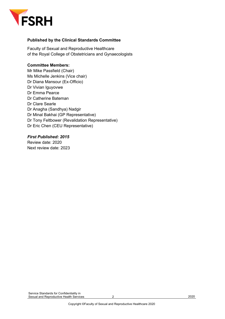

### **Published by the Clinical Standards Committee**

Faculty of Sexual and Reproductive Healthcare of the Royal College of Obstetricians and Gynaecologists

### **Committee Members:**

Mr Mike Passfield (Chair) Ms Michelle Jenkins (Vice chair) Dr Diana Mansour (Ex-Officio) Dr Vivian Iguyovwe Dr Emma Pearce Dr Catherine Bateman Dr Clare Searle Dr Anagha (Sandhya) Nadgir Dr Minal Bakhai (GP Representative) Dr Tony Feltbower (Revalidation Representative) Dr Eric Chen (CEU Representative)

### *First Published: 2015*

Review date: 2020 Next review date: 2023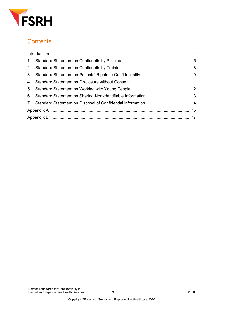

# **Contents**

| $1 -$          |  |  |
|----------------|--|--|
| $2^{\circ}$    |  |  |
| 3 <sup>1</sup> |  |  |
| $\overline{4}$ |  |  |
| $5^{\circ}$    |  |  |
| 6              |  |  |
|                |  |  |
|                |  |  |
|                |  |  |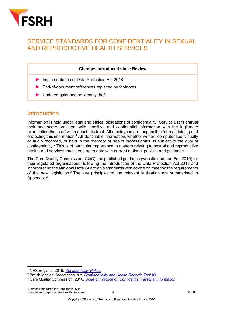

### SERVICE STANDARDS FOR CONFIDENTIALITY IN SEXUAL AND REPRODUCTIVE HEALTH SERVICES

#### **Changes Introduced since Review**

- Implementation of Data Protection Act 2018
- End-of-document references replaced by footnotes
- Updated quidance on identity theft

### **Introduction**

Information is held under legal and ethical obligations of confidentiality. Service users entrust their healthcare providers with sensitive and confidential information with the legitimate expectation that staff will respect this trust. All employees are responsible for maintaining and protecting this information.<sup>1</sup> All identifiable information, whether written, computerised, visually or audio recorded, or held in the memory of health professionals, is subject to the duty of confidentiality.2 This is of particular importance in matters relating to sexual and reproductive health, and services must keep up to date with current national policies and guidance.

The Care Quality Commission (CQC) has published guidance (website updated Feb 2019) for their regulated organisations, following the introduction of the Data Protection Act 2018 and incorporating the National Data Guardian's standards with advice on meeting the requirements of the new legislation.<sup>3</sup> The key principles of the relevant legislation are summarised in Appendix A.

<sup>&</sup>lt;sup>1</sup> NHS England, 2019. *Confidentiality Policy.*<br><sup>2</sup> British Medical Association, n.d. *Confidentiality and Health Records Tool Kit.*<br><sup>3</sup> Care Quality Commission, 2016. *Code of Practice on Confidential Personal Informatio*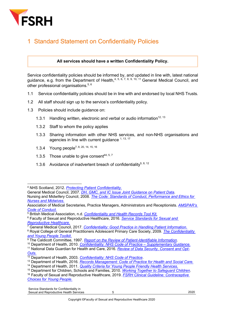

# 1 Standard Statement on Confidentiality Policies

### **All services should have a written Confidentiality Policy.**

Service confidentiality policies should be informed by, and updated in line with, latest national guidance, e.g. from the Department of Health,<sup>4, 5, 6, 7, 8, 9, 10, 11</sup> General Medical Council, and other professional organisations.<sup>5, 6</sup>

- 1.1 Service confidentiality policies should be in line with and endorsed by local NHS Trusts.
- 1.2 All staff should sign up to the service's confidentiality policy.
- 1.3 Policies should include guidance on:
	- 1.3.1 Handling written, electronic and verbal or audio information<sup>12, 13</sup>
	- 1.3.2 Staff to whom the policy applies
	- 1.3.3 Sharing information with other NHS services, and non-NHS organisations and agencies in line with current guidance  $1, 13, 17$
	- 1.3.4 Young people7, 8, 20, 14, 15, <sup>16</sup>
	- 1.3.5 Those unable to give consent<sup>44, 5, 7</sup>
	- 1.3.6 Avoidance of inadvertent breach of confidentiality<sup>5, 8, 12</sup>

<sup>5</sup> British Medical Association, n.d. *Confidentiality and Health Records Tool Kit.* 6 Faculty of Sexual and Reproductive Healthcare, 2016. *Service Standards for Sexual and Reproductive Healthcare*. 7 General Medical Council, 2017. *Confidentiality: Good Practice in Handling Patient Information*.

<sup>4</sup> NHS Scotland, 2012. *Protecting Patient Confidentiality*.

General Medical Council, 2007. *DH, GMC, and IC Issue Joint Guidance on Patient Data*.

Nursing and Midwifery Council, 2008*. The Code: Standards of Conduct, Performance and Ethics for Nurses and Midwives*.

Association of Medical Secretaries, Practice Managers, Administrators and Receptionists. *AMSPAR's* **Code of Conduct.**<br><sup>5</sup> British Medical Association, n.d. Confidentiality and Health Records Tool Kit.

<sup>8</sup> Royal College of General Practitioners Adolescent Primary Care Society, 2009. *The Confidentiality*  and Young People Toolkit.<br><sup>9</sup> The Caldicott Committee, 1997. Report on the Review of Patient-Identifiable Information.<br><sup>10</sup> Department of Health, 2010. Confidentiality: NHS Code of Practice – Supplementary Guidance.

<sup>&</sup>lt;sup>11</sup> National Data Guardian for Health and Care, 2016. *Review of Data Security, Consent and Opt-*<br>Outs.

<sup>&</sup>lt;sup>12</sup> Department of Health, 2003. *Confidentiality: NHS Code of Practice*.<br><sup>13</sup> Department of Health, 2016. *Records Management: Code of Practice for Health and Social Care.* 

<sup>14</sup> Department of Health, 2011. *Quality Criteria for Young People Friendly Health Services*.

<sup>15</sup> Department for Children, Schools and Families, 2010. *Working Together to Safeguard Children.*

<sup>16</sup> Faculty of Sexual and Reproductive Healthcare, 2019. *FSRH Clinical Guideline: Contraceptive Choices for Young People*.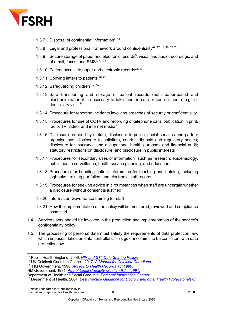

- 1.3.7 Disposal of confidential information<sup>5, 13</sup>
- 1.3.8 Legal and professional framework around confidentiality44, 12, 17, 18, 19, <sup>20</sup>
- 1.3.9 Secure storage of paper and electronic records<sup>9</sup>, visual and audio recordings, and of email, faxes, and  $\text{SMS}^{5, 13, 21}$
- 1.3.10 Patient access to paper and electronic records $^{22, 19}$
- 1.3.11 Copying letters to patients  $13, 23$
- 1.3.12 Safeguarding children<sup>5, 7, 15</sup>
- 1.3.13 Safe transporting and storage of patient records (both paper-based and electronic) when it is necessary to take them in cars or keep at home, e.g. for domiciliary visits $^{24}$
- 1.3.14 Procedure for reporting incidents involving breaches of security or confidentiality
- 1.3.15 Procedures for use of CCTV and recording of telephone calls, publication in print, radio, TV, video, and internet media $5$
- 1.3.16 Disclosure required by statute; disclosure to police, social services and partner organisations; disclosure to solicitors, courts, tribunals and regulatory bodies; disclosure for insurance and occupational health purposes and financial audit; statutory restrictions on disclosure, and disclosure in public interests<sup>5</sup>
- 1.3.17 Procedures for secondary uses of information<sup>5</sup> such as research, epidemiology, public health surveillance, health service planning, and education
- 1.3.18 Procedures for handling patient information for teaching and training, including logbooks, training portfolios, and electronic staff records
- 1.3.19 Procedures for seeking advice in circumstances when staff are uncertain whether a disclosure without consent is justified
- 1.3.20 Information Governance training for staff
- 1.3.21 How the implementation of the policy will be monitored, reviewed and compliance assessed
- 1.4 Service users should be involved in the production and implementation of the service's confidentiality policy.
- 1.5 The processing of personal data must satisfy the requirements of data protection law, which imposes duties on data controllers. This guidance aims to be consistent with data protection law.

HM Government, 1991. *Age of Legal Capacity (Scotland) Act 1991*.

<sup>&</sup>lt;sup>17</sup> Public Health England, 2009. *HIV and STI: Data Sharing Policy.*<br><sup>18</sup> UK Caldicott Guardian Council, 2017. A Manual for Caldicott Guardians.<br><sup>19</sup> HM Government, 1990. Access to Health Records Act 1990.

Department of Health and Social Care, n.d*. Personal Information Charter*. 20 Department of Health, 2004*. Best Practice Guidance for Doctors and other Health Professionals on*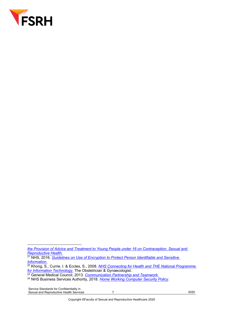

Service Standards for Confidentiality in Sexual and Reproductive Health Services **7** 2020

*the Provision of Advice and Treatment to Young People under 16 on Contraception, Sexual and Reproductive Health.*

<sup>21</sup> NHS, 2016. *Guidelines on Use of Encryption to Protect Person Identifiable and Sensitive Information.*

<sup>22</sup> Khong, S., Currie, I. & Eccles, S., 2008. *NHS Connecting for Health and THE National Programme for Information Technology*. The Obstetrician & Gynaecologist.

<sup>23</sup> General Medical Council, 2013*. Communication Partnership and Teamwork.*

<sup>24</sup> NHS Business Services Authority, 2018. *Home Working Computer Security Policy*.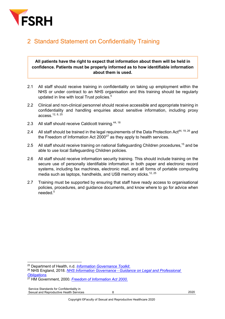

# 2 Standard Statement on Confidentiality Training

### **All patients have the right to expect that information about them will be held in confidence. Patients must be properly informed as to how identifiable information about them is used.**

- 2.1 All staff should receive training in confidentiality on taking up employment within the NHS or under contract to an NHS organisation and this training should be regularly updated in line with local Trust policies.<sup>5</sup>
- 2.2 Clinical and non-clinical personnel should receive accessible and appropriate training in confidentiality and handling enquiries about sensitive information, including proxy access.12, 8, <sup>25</sup>
- 2.3 All staff should receive Caldicott training.<sup>44, 18</sup>
- 2.4 All staff should be trained in the legal requirements of the Data Protection Act<sup>44, 19, 26</sup> and the Freedom of Information Act  $2000^{27}$  as they apply to health services.
- 2.5 All staff should receive training on national Safeguarding Children procedures,<sup>15</sup> and be able to use local Safeguarding Children policies.
- 2.6 All staff should receive information security training. This should include training on the secure use of personally identifiable information in both paper and electronic record systems, including fax machines, electronic mail, and all forms of portable computing media such as laptops, handhelds, and USB memory sticks.<sup>12, 25</sup>
- 2.7 Training must be supported by ensuring that staff have ready access to organisational policies, procedures, and guidance documents, and know where to go for advice when needed<sup>5</sup>

<sup>25</sup> Department of Health, n.d. *Information Governance Toolkit*.

<sup>26</sup> NHS England, 2018. *NHS Information Governance - Guidance on Legal and Professional Obligations.*

<sup>27</sup> HM Government, 2000. *Freedom of Information Act 2000*.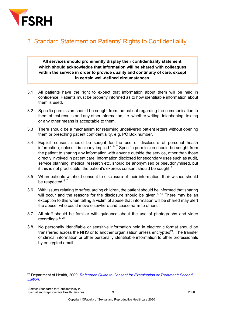

### 3 Standard Statement on Patients' Rights to Confidentiality

**All services should prominently display their confidentiality statement, which should acknowledge that information will be shared with colleagues within the service in order to provide quality and continuity of care, except in certain well-defined circumstances.**

- 3.1 All patients have the right to expect that information about them will be held in confidence. Patients must be properly informed as to how identifiable information about them is used.
- 3.2 Specific permission should be sought from the patient regarding the communication to them of test results and any other information, i.e. whether writing, telephoning, texting or any other means is acceptable to them.
- 3.3 There should be a mechanism for returning undelivered patient letters without opening them or breeching patient confidentiality, e.g. PO Box number.
- 3.4 Explicit consent should be sought for the use or disclosure of personal health information, unless it is clearly implied. $4, 5, 7$  Specific permission should be sought from the patient to sharing any information with anyone outside the service, other than those directly involved in patient care. Information disclosed for secondary uses such as audit, service planning, medical research etc. should be anonymised or pseudonymised, but if this is not practicable, the patient's express consent should be sought.<sup>5</sup>
- 3.5 When patients withhold consent to disclosure of their information, their wishes should be respected. $5, 7$
- 3.6 With issues relating to safeguarding children, the patient should be informed that sharing will occur and the reasons for the disclosure should be given.<sup>5, 15</sup> There may be an exception to this when telling a victim of abuse that information will be shared may alert the abuser who could move elsewhere and cease harm to others.
- 3.7 All staff should be familiar with guidance about the use of photographs and video recordings. $5, 28$
- 3.8 No personally identifiable or sensitive information held in electronic format should be transferred across the NHS or to another organisation unless encrypted $^{21}$ . The transfer of clinical information or other personally identifiable information to other professionals by encrypted email.

<sup>28</sup> Department of Health, 2009. *Reference Guide to Consent for Examination or Treatment: Second Edition*.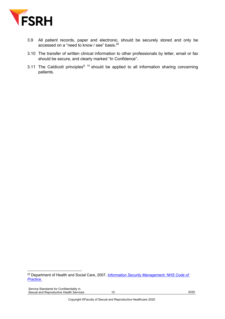

- 3.9 All patient records, paper and electronic, should be securely stored and only be accessed on a "need to know / see" basis.<sup>29</sup>
- 3.10 The transfer of written clinical information to other professionals by letter, email or fax should be secure, and clearly marked "In Confidence".
- 3.11 The Caldicott principles<sup>9, 10</sup> should be applied to all information sharing concerning patients.

Service Standards for Confidentiality in Sexual and Reproductive Health Services 10 10 10 2020

<sup>29</sup> Department of Health and Social Care, 2007*. Information Security Management: NHS Code of Practice.*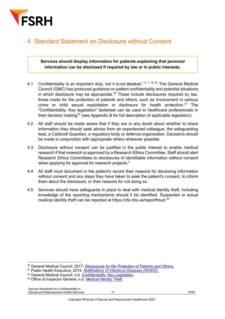

### 4 Standard Statement on Disclosure without Consent

### **Services should display information for patients explaining that personal information can be disclosed if required by law or in public interests.**

- 4.1 Confidentiality is an important duty, but it is not absolute.<sup>1, 5,7, 10, 15</sup> The General Medical Council (GMC) has produced guidance on patient confidentiality and potential situations in which disclosure may be appropriate. $30$  These include disclosures required by law, those made for the protection of patients and others, such as involvement in serious crime or child sexual exploitation or disclosure for health protection.<sup>31</sup> The "Confidentiality: Key legislation" factsheet can be used to healthcare professionals in their decision making<sup>32</sup> (see Appendix B for full description of applicable legislation).
- 4.2 All staff should be made aware that if they are in any doubt about whether to share information, they should seek advice from an experienced colleague, the safeguarding lead, a Caldicott Guardian, a regulatory body or defence organisation. Decisions should be made in conjunction with appropriate others wherever possible.
- 4.3 Disclosure without consent can be justified in the public interest to enable medical research if that research is approved by a Research Ethics Committee. Staff should alert Research Ethics Committees to disclosures of identifiable information without consent when applying for approval for research projects.<sup>4</sup>
- 4.4 All staff must document in the patient's record their reasons for disclosing information without consent and any steps they have taken to seek the patient's consent, to inform them about the disclosure, or their reasons for not doing so.
- 4.5 Services should have safeguards in place to deal with medical identity theft, including knowledge of the reporting mechanisms should it be identified. Suspected or actual medical identity theft can be reported at https://cfa.nhs.uk/reportfraud.<sup>33</sup>

<sup>30</sup> General Medical Council, 2017. *Disclosures for the Protection of Patients and Others*.

<sup>31</sup> Public Health Executive, 2014. *Notifications of Infectious Diseases (NOIDS*).

<sup>32</sup> General Medical Council, n.d*. Confidentiality: Key Legislation*. 33 Office of Inspector General, n.d. *Medical Identity Theft*.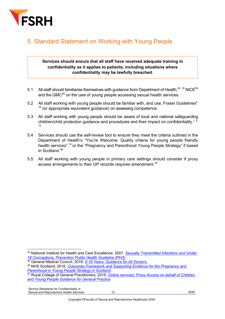

# 5 Standard Statement on Working with Young People

### **Services should ensure that all staff have received adequate training in confidentiality as it applies to patients, including situations where confidentiality may be lawfully breached.**

- 5.1 All staff should familiarise themselves with guidance from Department of Health,  $43, 18$  NICE  $34$ and the GMC<sup>35</sup> on the care of young people accessing sexual health services.
- 5.2 All staff working with young people should be familiar with, and use, Fraser Guidelines<sup>4,</sup>  $16$  (or appropriate equivalent guidance) on assessing competence.
- 5.3 All staff working with young people should be aware of local and national safeguarding children/child protection guidance and procedures and their impact on confidentiality.<sup>1, 2,</sup> 15
- 5.4 Services should use the self-review tool to ensure they meet the criteria outlined in the Department of Health's "You're Welcome: Quality criteria for young people friendly health services",<sup>14</sup> or the "Pregnancy and Parenthood Young People Strategy" if based in Scotland. 36
- 5.5 All staff working with young people in primary care settings should consider if proxy access arrangements to their GP records requires amendment.<sup>37</sup>

<sup>34</sup> National Institute for Health and Care Excellence, 2007. *Sexually Transmitted Infections and Under-18 Conceptions: Prevention Public Health Guideline [PH3*].

<sup>35</sup> General Medical Council, 2018. *0-18 Years: Guidance for All Doctors*. <sup>36</sup> NHS Scotland, 2016. *Outcomes Framework and Supporting Evidence for the Pregnancy and Parenthood in Young People Strategy in Scotland.* 

<sup>&</sup>lt;sup>37</sup> Royal College of General Practitioners, 2015. *Online services: Proxy Access on behalf of Children and Young People Guidance for General Practice*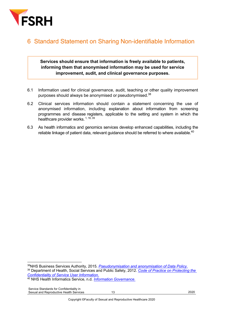

### 6 Standard Statement on Sharing Non-identifiable Information

**Services should ensure that information is freely available to patients, informing them that anonymised information may be used for service improvement, audit, and clinical governance purposes.**

- 6.1 Information used for clinical governance, audit, teaching or other quality improvement purposes should always be anonymised or pseudonymised.<sup>38</sup>
- 6.2 Clinical services information should contain a statement concerning the use of anonymised information, including explanation about information from screening programmes and disease registers, applicable to the setting and system in which the healthcare provider works. 1, 18, 39
- 6.3 As health informatics and genomics services develop enhanced capabilities, including the reliable linkage of patient data, relevant guidance should be referred to where available.<sup>40</sup>

<sup>38</sup>NHS Business Services Authority, 2015. *Pseudonymisation and anonymisation of Data Policy.* <sup>39</sup> Department of Health, Social Services and Public Safety, 2012. *Code of Practice on Protecting the Confidentiality of Service User Information*.

<sup>40</sup> NHS Health Informatics Service, n.d*. Information Governance*.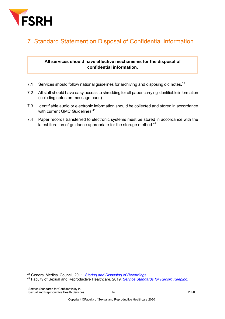

# 7 Standard Statement on Disposal of Confidential Information

### **All services should have effective mechanisms for the disposal of confidential information.**

- 7.1 Services should follow national guidelines for archiving and disposing old notes.<sup>19</sup>
- 7.2 All staff should have easy access to shredding for all paper carrying identifiable information (including notes on message pads).
- 7.3 Identifiable audio or electronic information should be collected and stored in accordance with current GMC Guidelines.<sup>41</sup>
- 7.4 Paper records transferred to electronic systems must be stored in accordance with the latest iteration of guidance appropriate for the storage method. $42$

<sup>41</sup> General Medical Council, 2011. *Storing and Disposing of Recordings*.

<sup>42</sup> Faculty of Sexual and Reproductive Healthcare, 2019. *Service Standards for Record Keeping.*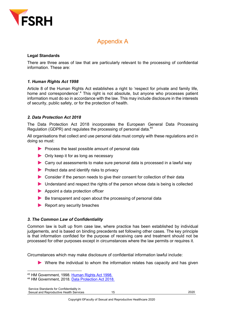

### Appendix A

### **Legal Standards**

There are three areas of law that are particularly relevant to the processing of confidential information. These are:

### *1. Human Rights Act 1998*

Article 8 of the Human Rights Act establishes a right to 'respect for private and family life, home and correspondence<sup>'.4</sup> This right is not absolute, but anyone who processes patient information must do so in accordance with the law. This may include disclosure in the interests of security, public safety, or for the protection of health.

### *2. Data Protection Act 2018*

The Data Protection Act 2018 incorporates the European General Data Processing Regulation (GDPR) and regulates the processing of personal data.<sup>44</sup>

All organisations that collect and use personal data must comply with these regulations and in doing so must:

- $\blacktriangleright$  Process the least possible amount of personal data
- ▶ Only keep it for as long as necessary
- Carry out assessments to make sure personal data is processed in a lawful way
- $\blacktriangleright$  Protect data and identify risks to privacy
- Consider if the person needs to give their consent for collection of their data
- Understand and respect the rights of the person whose data is being is collected
- Appoint a data protection officer
- $\blacktriangleright$  Be transparent and open about the processing of personal data
- Report any security breaches

#### *3. The Common Law of Confidentiality*

Common law is built up from case law, where practice has been established by individual judgements, and is based on binding precedents set following other cases. The key principle is that information confided for the purpose of receiving care and treatment should not be processed for other purposes except in circumstances where the law permits or requires it.

Circumstances which may make disclosure of confidential information lawful include:

Where the individual to whom the information relates has capacity and has given

<sup>&</sup>lt;sup>43</sup> HM Government, 1998. Human Rights Act 1998.<br><sup>44</sup> HM Government, 2018. Data Protection Act 2018.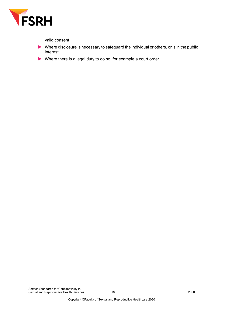

valid consent

- $\blacktriangleright$  Where disclosure is necessary to safeguard the individual or others, or is in the public interest
- Where there is a legal duty to do so, for example a court order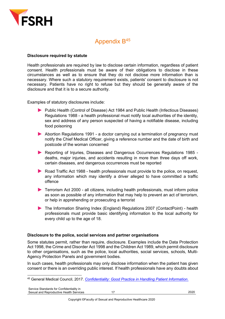

### Appendix B45

### **Disclosure required by statute**

Health professionals are required by law to disclose certain information, regardless of patient consent. Health professionals must be aware of their obligations to disclose in these circumstances as well as to ensure that they do not disclose more information than is necessary. Where such a statutory requirement exists, patients' consent to disclosure is not necessary. Patients have no right to refuse but they should be generally aware of the disclosure and that it is to a secure authority.

Examples of statutory disclosures include:

- Public Health (Control of Disease) Act 1984 and Public Health (Infectious Diseases) Regulations 1988 - a health professional must notify local authorities of the identity, sex and address of any person suspected of having a notifiable disease, including food poisoning
- Abortion Regulations 1991 a doctor carrying out a termination of pregnancy must notify the Chief Medical Officer, giving a reference number and the date of birth and postcode of the woman concerned
- Reporting of Injuries, Diseases and Dangerous Occurrences Regulations 1985 deaths, major injuries, and accidents resulting in more than three days off work, certain diseases, and dangerous occurrences must be reported
- Road Traffic Act 1988 health professionals must provide to the police, on request, any information which may identify a driver alleged to have committed a traffic offence
- ▶ Terrorism Act 2000 all citizens, including health professionals, must inform police as soon as possible of any information that may help to prevent an act of terrorism, or help in apprehending or prosecuting a terrorist
- ▶ The Information Sharing Index (England) Regulations 2007 (ContactPoint) health professionals must provide basic identifying information to the local authority for every child up to the age of 18.

### **Disclosure to the police, social services and partner organisations**

Some statutes permit, rather than require, disclosure. Examples include the Data Protection Act 1998, the Crime and Disorder Act 1998 and the Children Act 1989, which permit disclosure to other organisations, such as the police, local authorities, social services, schools, Multi-Agency Protection Panels and government bodies.

In such cases, health professionals may only disclose information when the patient has given consent or there is an overriding public interest. If health professionals have any doubts about

<sup>45</sup> General Medical Council, 2017. *Confidentiality: Good Practice in Handling Patient Information*.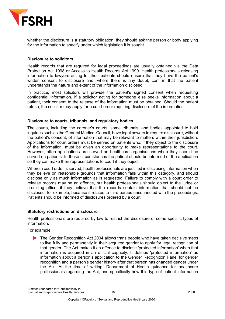

whether the disclosure is a statutory obligation, they should ask the person or body applying for the information to specify under which legislation it is sought.

#### **Disclosure to solicitors**

Health records that are required for legal proceedings are usually obtained via the Data Protection Act 1998 or Access to Health Records Act 1990. Health professionals releasing information to lawyers acting for their patients should ensure that they have the patient's written consent to disclosure and, where there is any doubt, confirm that the patient understands the nature and extent of the information disclosed.

In practice, most solicitors will provide the patient's signed consent when requesting confidential information. If a solicitor acting for someone else seeks information about a patient, their consent to the release of the information must be obtained. Should the patient refuse, the solicitor may apply for a court order requiring disclosure of the information.

#### **Disclosure to courts, tribunals, and regulatory bodies**

The courts, including the coroner's courts, some tribunals, and bodies appointed to hold inquiries such as the General Medical Council, have legal powers to require disclosure, without the patient's consent, of information that may be relevant to matters within their jurisdiction. Applications for court orders must be served on patients who, if they object to the disclosure of the information, must be given an opportunity to make representations to the court. However, often applications are served on healthcare organisations when they should be served on patients. In these circumstances the patient should be informed of the application so they can make their representations to court if they object.

Where a court order is served, health professionals are justified in disclosing information when they believe on reasonable grounds that information falls within this category, and should disclose only as much information as is requested. Failure to comply with a court order to release records may be an offence, but health professionals should object to the judge or presiding officer if they believe that the records contain information that should not be disclosed, for example, because it relates to third parties unconnected with the proceedings. Patients should be informed of disclosures ordered by a court.

#### **Statutory restrictions on disclosure**

Health professionals are required by law to restrict the disclosure of some specific types of information.

For example:

The Gender Recognition Act 2004 allows trans people who have taken decisive steps to live fully and permanently in their acquired gender to apply for legal recognition of that gender. The Act makes it an offence to disclose 'protected information' when that information is acquired in an official capacity. It defines 'protected information' as information about a person's application to the Gender Recognition Panel for gender recognition and a person's gender history after that person has changed gender under the Act. At the time of writing, Department of Health guidance for healthcare professionals regarding the Act, and specifically how this type of patient information